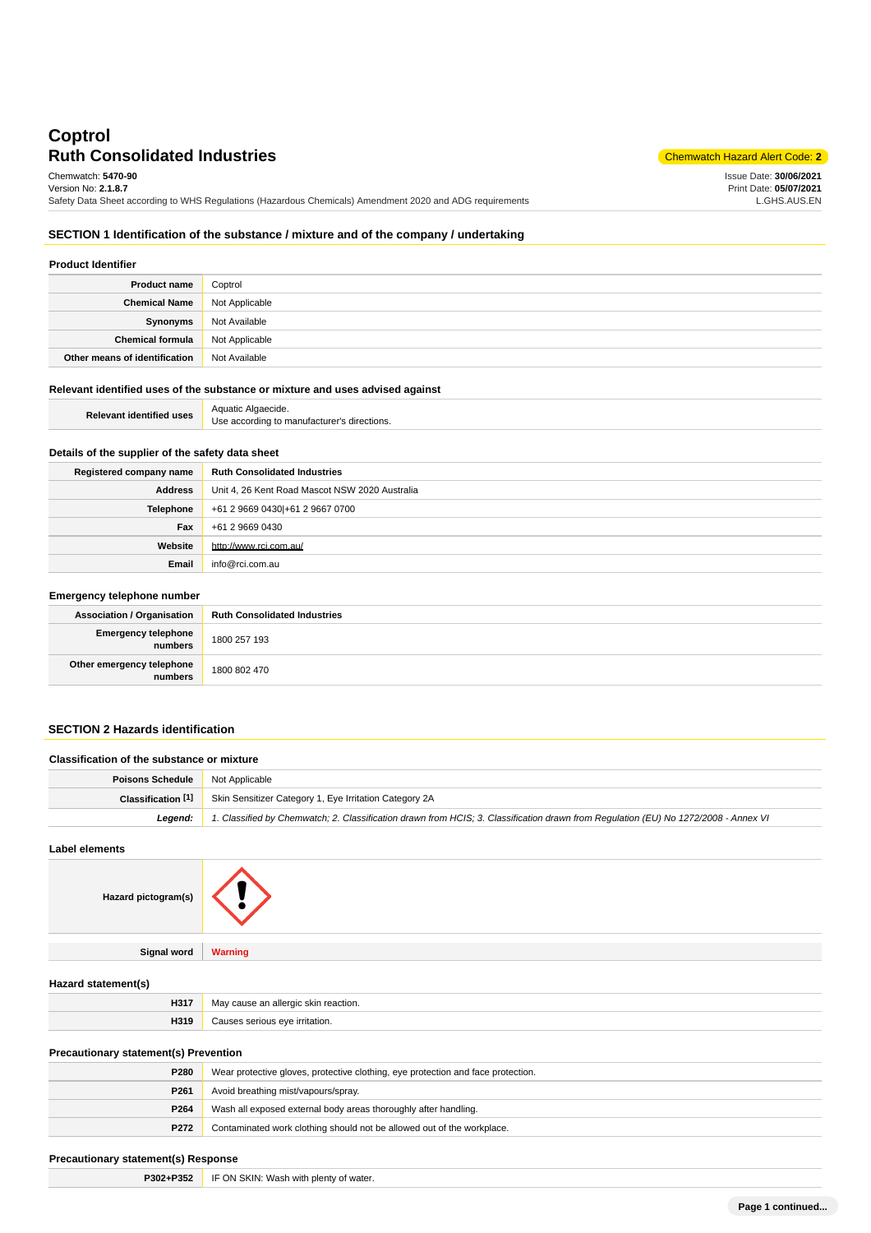# **Ruth Consolidated Industries** Chemwatch Hazard Alert Code: 2<sup>2</sup> **Coptrol** Chemwatch: **5470-90**

Issue Date: **30/06/2021** Print Date: **05/07/2021** L.GHS.AUS.EN

Version No: **2.1.8.7** Safety Data Sheet according to WHS Regulations (Hazardous Chemicals) Amendment 2020 and ADG requirements

### **SECTION 1 Identification of the substance / mixture and of the company / undertaking**

| <b>Product Identifier</b>     |                |  |
|-------------------------------|----------------|--|
| <b>Product name</b>           | Coptrol        |  |
| <b>Chemical Name</b>          | Not Applicable |  |
| Synonyms                      | Not Available  |  |
| <b>Chemical formula</b>       | Not Applicable |  |
| Other means of identification | Not Available  |  |

#### **Relevant identified uses of the substance or mixture and uses advised against**

| $-100$                          | Aquatic                                     |
|---------------------------------|---------------------------------------------|
| <b>Relevant identified uses</b> | Algaecide.                                  |
|                                 | Use according to manufacturer's directions. |

## **Details of the supplier of the safety data sheet**

| Registered company name | <b>Ruth Consolidated Industries</b>            |
|-------------------------|------------------------------------------------|
| Address                 | Unit 4, 26 Kent Road Mascot NSW 2020 Australia |
| Telephone               | +61 2 9669 0430 + 61 2 9667 0700               |
| <b>Fax</b>              | +61 2 9669 0430                                |
| Website                 | http://www.rci.com.au/                         |
| Email                   | info@rci.com.au                                |

#### **Emergency telephone number**

| <b>Association / Organisation</b>    | <b>Ruth Consolidated Industries</b> |
|--------------------------------------|-------------------------------------|
| Emergency telephone<br>numbers       | 1800 257 193                        |
| Other emergency telephone<br>numbers | 1800 802 470                        |

## **SECTION 2 Hazards identification**

| Classification of the substance or mixture |                                                                                                                                     |
|--------------------------------------------|-------------------------------------------------------------------------------------------------------------------------------------|
| <b>Poisons Schedule   Not Applicable</b>   |                                                                                                                                     |
|                                            | <b>Classification [1]</b> Skin Sensitizer Category 1, Eye Irritation Category 2A                                                    |
| Leaend:                                    | 1. Classified by Chemwatch; 2. Classification drawn from HCIS; 3. Classification drawn from Requlation (EU) No 1272/2008 - Annex VI |

#### **Label elements**

| Hazard pictogram(s) |                |
|---------------------|----------------|
| Signal word         | <b>Warning</b> |
| Hazard statement(s) |                |

| H317 | May cause an allergic skin reaction.      |
|------|-------------------------------------------|
| H319 | $\cdots$ $\sim$ $\sim$ $\sim$ irritation. |
|      |                                           |

## **Precautionary statement(s) Prevention**

| P <sub>261</sub><br>Avoid breathing mist/vapours/spray.<br>Wash all exposed external body areas thoroughly after handling.<br>P264 | <b>P280</b> | Wear protective gloves, protective clothing, eye protection and face protection. |
|------------------------------------------------------------------------------------------------------------------------------------|-------------|----------------------------------------------------------------------------------|
|                                                                                                                                    |             |                                                                                  |
|                                                                                                                                    |             |                                                                                  |
| P <sub>272</sub><br>Contaminated work clothing should not be allowed out of the workplace.                                         |             |                                                                                  |

### **Precautionary statement(s) Response**

**P302+P352** IF ON SKIN: Wash with plenty of water.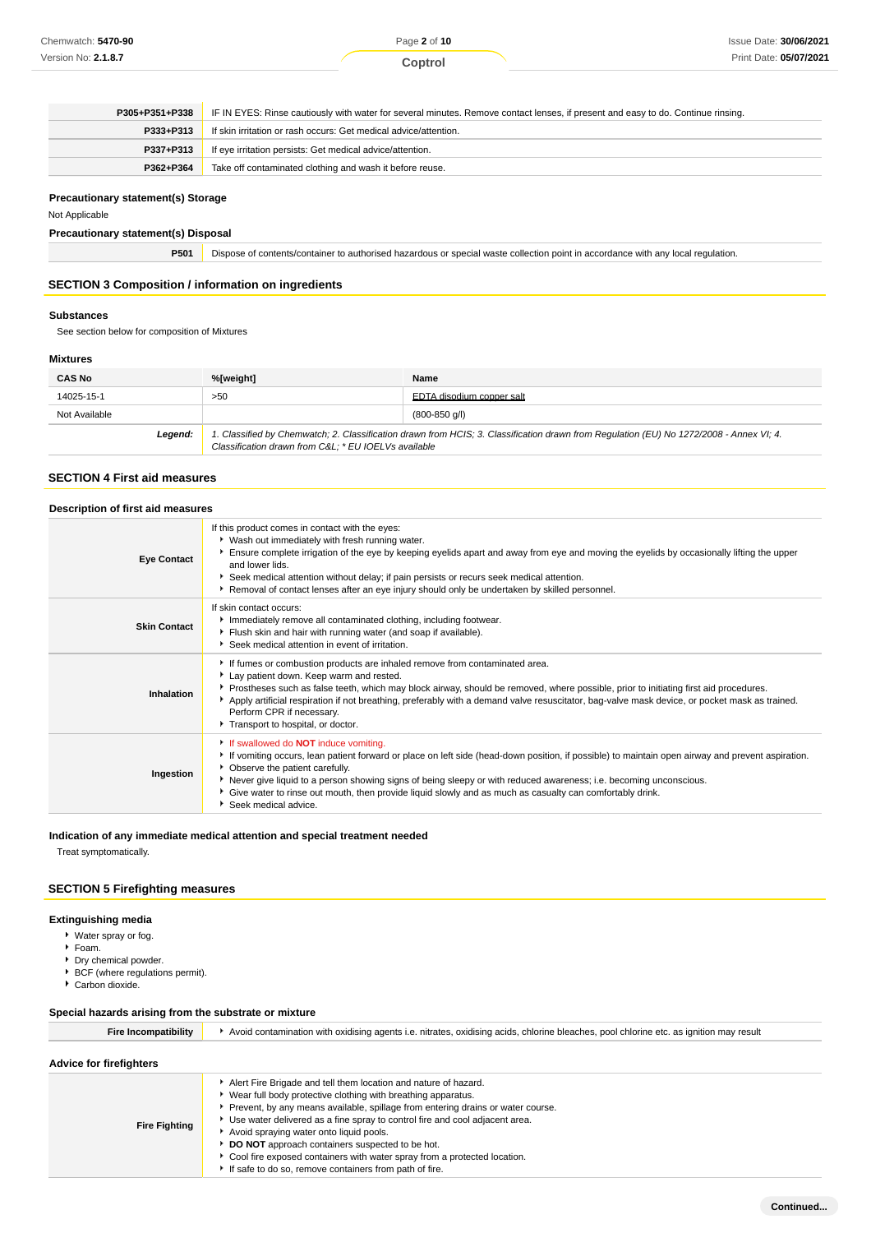| P305+P351+P338 | IF IN EYES: Rinse cautiously with water for several minutes. Remove contact lenses, if present and easy to do. Continue rinsing. |  |
|----------------|----------------------------------------------------------------------------------------------------------------------------------|--|
| P333+P313      | If skin irritation or rash occurs: Get medical advice/attention.                                                                 |  |
| P337+P313      | If eye irritation persists: Get medical advice/attention.                                                                        |  |
| P362+P364      | Take off contaminated clothing and wash it before reuse.                                                                         |  |

### **Precautionary statement(s) Storage**

## Not Applicable

### **Precautionary statement(s) Disposal**

| P501 | b Dispose of contents/container to authorised hazardous or special waste collection point in accordance with any local regulation. |  |
|------|------------------------------------------------------------------------------------------------------------------------------------|--|
|------|------------------------------------------------------------------------------------------------------------------------------------|--|

## **SECTION 3 Composition / information on ingredients**

#### **Substances**

See section below for composition of Mixtures

## **Mixtures**

| <b>CAS No</b> | %[weight]                                                                                                                                                                                                        | Name                      |
|---------------|------------------------------------------------------------------------------------------------------------------------------------------------------------------------------------------------------------------|---------------------------|
| 14025-15-1    | >50                                                                                                                                                                                                              | EDTA disodium copper salt |
| Not Available | $(800-850q/l)$<br>1. Classified by Chemwatch; 2. Classification drawn from HCIS; 3. Classification drawn from Regulation (EU) No 1272/2008 - Annex VI; 4.<br>Classification drawn from C&L * EU IOELVs available |                           |
| Legend:       |                                                                                                                                                                                                                  |                           |

## **SECTION 4 First aid measures**

#### **Description of first aid measures**

| <b>Eye Contact</b>  | If this product comes in contact with the eyes:<br>▶ Wash out immediately with fresh running water.<br>Ensure complete irrigation of the eye by keeping eyelids apart and away from eye and moving the eyelids by occasionally lifting the upper<br>and lower lids.<br>Seek medical attention without delay; if pain persists or recurs seek medical attention.<br>Removal of contact lenses after an eye injury should only be undertaken by skilled personnel.                             |
|---------------------|----------------------------------------------------------------------------------------------------------------------------------------------------------------------------------------------------------------------------------------------------------------------------------------------------------------------------------------------------------------------------------------------------------------------------------------------------------------------------------------------|
| <b>Skin Contact</b> | If skin contact occurs:<br>Immediately remove all contaminated clothing, including footwear.<br>Flush skin and hair with running water (and soap if available).<br>Seek medical attention in event of irritation.                                                                                                                                                                                                                                                                            |
| Inhalation          | If fumes or combustion products are inhaled remove from contaminated area.<br>Lay patient down. Keep warm and rested.<br>▶ Prostheses such as false teeth, which may block airway, should be removed, where possible, prior to initiating first aid procedures.<br>Apply artificial respiration if not breathing, preferably with a demand valve resuscitator, bag-valve mask device, or pocket mask as trained.<br>Perform CPR if necessary.<br>Transport to hospital, or doctor.           |
| Ingestion           | If swallowed do <b>NOT</b> induce vomiting.<br>If vomiting occurs, lean patient forward or place on left side (head-down position, if possible) to maintain open airway and prevent aspiration.<br>• Observe the patient carefully.<br>Never give liquid to a person showing signs of being sleepy or with reduced awareness; i.e. becoming unconscious.<br>Give water to rinse out mouth, then provide liquid slowly and as much as casualty can comfortably drink.<br>Seek medical advice. |

## **Indication of any immediate medical attention and special treatment needed**

Treat symptomatically.

## **SECTION 5 Firefighting measures**

## **Extinguishing media**

- Water spray or fog.
- Foam.
- **Dry chemical powder.**
- **BCF** (where regulations permit).
- Carbon dioxide.

#### **Special hazards arising from the substrate or mixture**

| Fire Incompatibility           | Avoid contamination with oxidising agents i.e. nitrates, oxidising acids, chlorine bleaches, pool chlorine etc. as ignition may result                                                                                                                                                                                                                                                                                                                                          |  |
|--------------------------------|---------------------------------------------------------------------------------------------------------------------------------------------------------------------------------------------------------------------------------------------------------------------------------------------------------------------------------------------------------------------------------------------------------------------------------------------------------------------------------|--|
| <b>Advice for firefighters</b> |                                                                                                                                                                                                                                                                                                                                                                                                                                                                                 |  |
| <b>Fire Fighting</b>           | Alert Fire Brigade and tell them location and nature of hazard.<br>▶ Wear full body protective clothing with breathing apparatus.<br>Prevent, by any means available, spillage from entering drains or water course.<br>Use water delivered as a fine spray to control fire and cool adjacent area.<br>Avoid spraying water onto liquid pools.<br>DO NOT approach containers suspected to be hot.<br>▶ Cool fire exposed containers with water spray from a protected location. |  |

If safe to do so, remove containers from path of fire.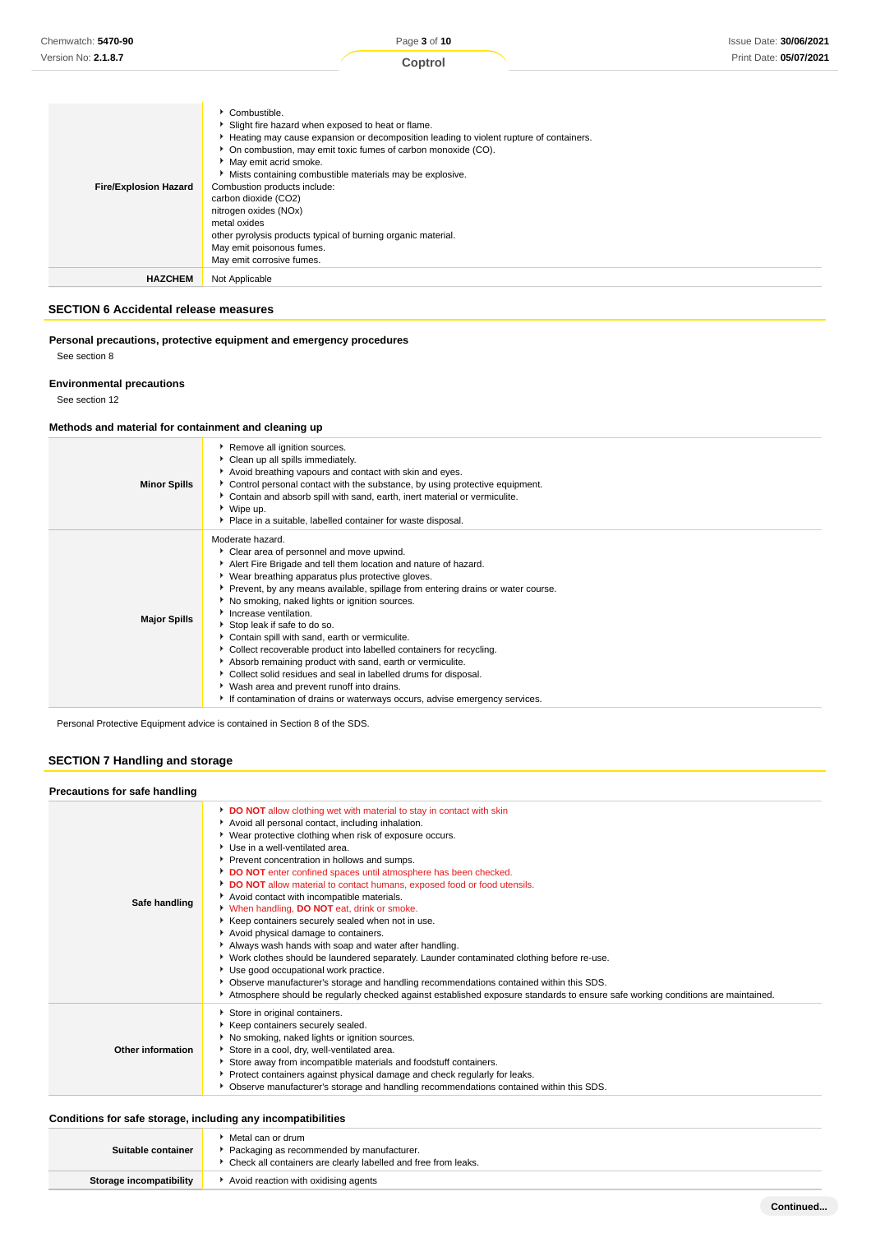| <b>Fire/Explosion Hazard</b> | Combustible.<br>Slight fire hazard when exposed to heat or flame.<br>► Heating may cause expansion or decomposition leading to violent rupture of containers.<br>• On combustion, may emit toxic fumes of carbon monoxide (CO).<br>May emit acrid smoke.<br>Mists containing combustible materials may be explosive.<br>Combustion products include:<br>carbon dioxide (CO2)<br>nitrogen oxides (NOx)<br>metal oxides<br>other pyrolysis products typical of burning organic material.<br>May emit poisonous fumes.<br>May emit corrosive fumes. |
|------------------------------|--------------------------------------------------------------------------------------------------------------------------------------------------------------------------------------------------------------------------------------------------------------------------------------------------------------------------------------------------------------------------------------------------------------------------------------------------------------------------------------------------------------------------------------------------|
| <b>HAZCHEM</b>               | Not Applicable                                                                                                                                                                                                                                                                                                                                                                                                                                                                                                                                   |

## **SECTION 6 Accidental release measures**

**Personal precautions, protective equipment and emergency procedures** See section 8

## **Environmental precautions**

See section 12

## **Methods and material for containment and cleaning up**

| <b>Minor Spills</b> | Remove all ignition sources.<br>Clean up all spills immediately.<br>Avoid breathing vapours and contact with skin and eyes.<br>▶ Control personal contact with the substance, by using protective equipment.<br>• Contain and absorb spill with sand, earth, inert material or vermiculite.<br>▶ Wipe up.<br>• Place in a suitable, labelled container for waste disposal.                                                                                                                                                                                                                                                                                                                                                                                                |
|---------------------|---------------------------------------------------------------------------------------------------------------------------------------------------------------------------------------------------------------------------------------------------------------------------------------------------------------------------------------------------------------------------------------------------------------------------------------------------------------------------------------------------------------------------------------------------------------------------------------------------------------------------------------------------------------------------------------------------------------------------------------------------------------------------|
| <b>Major Spills</b> | Moderate hazard.<br>Clear area of personnel and move upwind.<br>Alert Fire Brigade and tell them location and nature of hazard.<br>• Wear breathing apparatus plus protective gloves.<br>► Prevent, by any means available, spillage from entering drains or water course.<br>No smoking, naked lights or ignition sources.<br>Increase ventilation.<br>Stop leak if safe to do so.<br>Contain spill with sand, earth or vermiculite.<br>Collect recoverable product into labelled containers for recycling.<br>Absorb remaining product with sand, earth or vermiculite.<br>Collect solid residues and seal in labelled drums for disposal.<br>▶ Wash area and prevent runoff into drains.<br>If contamination of drains or waterways occurs, advise emergency services. |

Personal Protective Equipment advice is contained in Section 8 of the SDS.

## **SECTION 7 Handling and storage**

| Precautions for safe handling |                                                                                                                                                                                                                                                                                                                                                                                                                                                                                                                                                                                                                                                                                                                                                                                                                                                                                                                                                                                                                                                        |
|-------------------------------|--------------------------------------------------------------------------------------------------------------------------------------------------------------------------------------------------------------------------------------------------------------------------------------------------------------------------------------------------------------------------------------------------------------------------------------------------------------------------------------------------------------------------------------------------------------------------------------------------------------------------------------------------------------------------------------------------------------------------------------------------------------------------------------------------------------------------------------------------------------------------------------------------------------------------------------------------------------------------------------------------------------------------------------------------------|
| Safe handling                 | <b>DO NOT</b> allow clothing wet with material to stay in contact with skin<br>Avoid all personal contact, including inhalation.<br>▶ Wear protective clothing when risk of exposure occurs.<br>▶ Use in a well-ventilated area.<br>Prevent concentration in hollows and sumps.<br>DO NOT enter confined spaces until atmosphere has been checked.<br>DO NOT allow material to contact humans, exposed food or food utensils.<br>Avoid contact with incompatible materials.<br>When handling, DO NOT eat, drink or smoke.<br>▶ Keep containers securely sealed when not in use.<br>Avoid physical damage to containers.<br>Always wash hands with soap and water after handling.<br>▶ Work clothes should be laundered separately. Launder contaminated clothing before re-use.<br>Use good occupational work practice.<br>• Observe manufacturer's storage and handling recommendations contained within this SDS.<br>Atmosphere should be regularly checked against established exposure standards to ensure safe working conditions are maintained. |
| Other information             | Store in original containers.<br>Keep containers securely sealed.<br>No smoking, naked lights or ignition sources.<br>Store in a cool, dry, well-ventilated area.<br>Store away from incompatible materials and foodstuff containers.<br>▶ Protect containers against physical damage and check regularly for leaks.<br>▶ Observe manufacturer's storage and handling recommendations contained within this SDS.                                                                                                                                                                                                                                                                                                                                                                                                                                                                                                                                                                                                                                       |

### **Conditions for safe storage, including any incompatibilities**

| Suitable container      | ▶ Metal can or drum<br>Packaging as recommended by manufacturer.<br>• Check all containers are clearly labelled and free from leaks. |
|-------------------------|--------------------------------------------------------------------------------------------------------------------------------------|
| Storage incompatibility | Avoid reaction with oxidising agents                                                                                                 |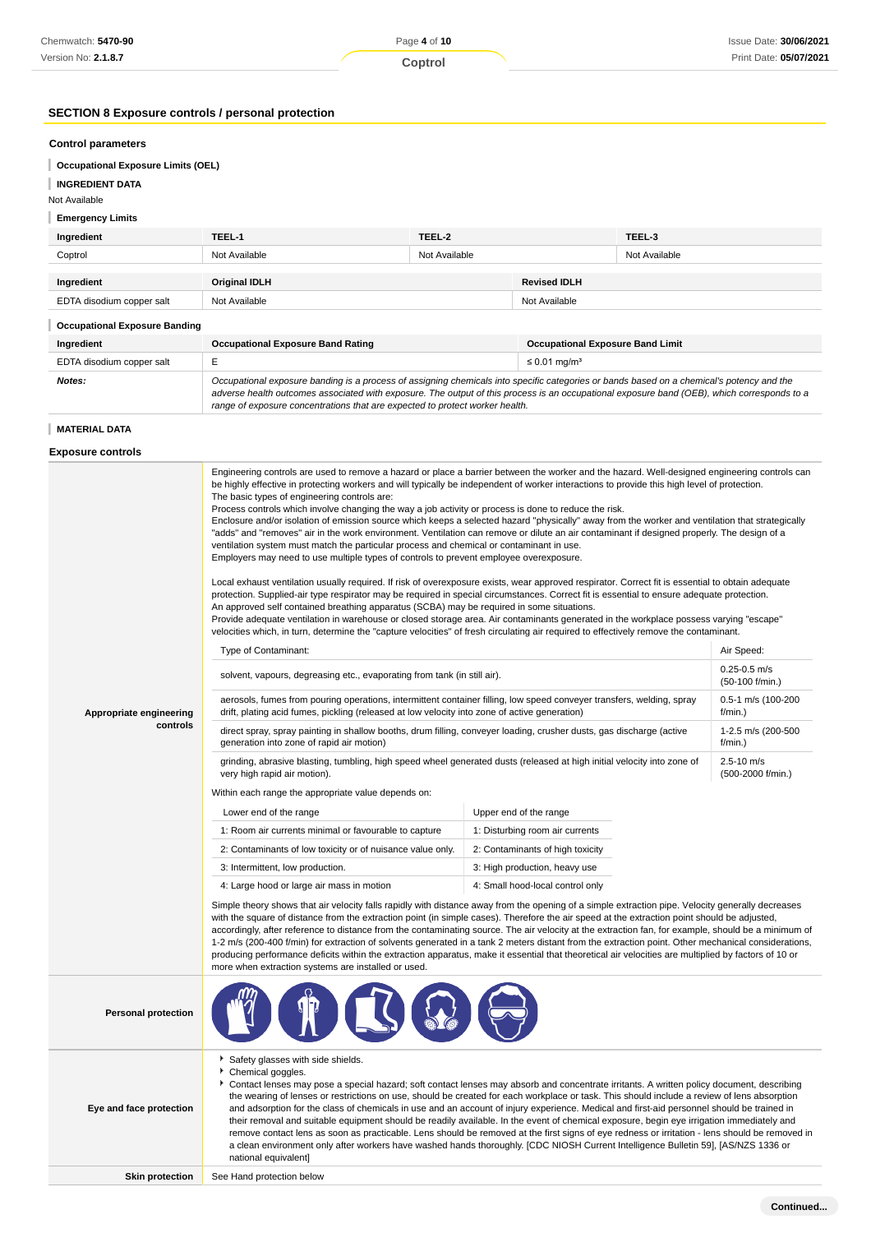## **SECTION 8 Exposure controls / personal protection**

#### **Control parameters**

| <b>Occupational Exposure Limits (OEL)</b> |  |  |
|-------------------------------------------|--|--|
|                                           |  |  |

## **INGREDIENT DATA**

### Not Available

### **Emergency Limits**

| Ingredient                           | TEEL-1                                   | TEEL-2        |                                         | TEEL-3        |  |
|--------------------------------------|------------------------------------------|---------------|-----------------------------------------|---------------|--|
| Coptrol                              | Not Available                            | Not Available |                                         | Not Available |  |
|                                      |                                          |               |                                         |               |  |
| Ingredient                           | <b>Original IDLH</b>                     |               | <b>Revised IDLH</b>                     |               |  |
| EDTA disodium copper salt            | Not Available                            |               |                                         | Not Available |  |
| <b>Occupational Exposure Banding</b> |                                          |               |                                         |               |  |
| Ingredient                           | <b>Occupational Exposure Band Rating</b> |               | <b>Occupational Exposure Band Limit</b> |               |  |

## EDTA disodium copper salt  $E = 50.01$  mg/m<sup>3</sup> **Notes: Cocupational exposure banding is a process of assigning chemicals into specific categories or bands based on a chemical's potency and the system of the system of the system of the system of the system of the syst** adverse health outcomes associated with exposure. The output of this process is an occupational exposure band (OEB), which corresponds to a

range of exposure concentrations that are expected to protect worker health.

### **MATERIAL DATA**

**Exposure controls**

|                            | Engineering controls are used to remove a hazard or place a barrier between the worker and the hazard. Well-designed engineering controls can<br>be highly effective in protecting workers and will typically be independent of worker interactions to provide this high level of protection.<br>The basic types of engineering controls are:<br>Process controls which involve changing the way a job activity or process is done to reduce the risk.<br>Enclosure and/or isolation of emission source which keeps a selected hazard "physically" away from the worker and ventilation that strategically<br>"adds" and "removes" air in the work environment. Ventilation can remove or dilute an air contaminant if designed properly. The design of a<br>ventilation system must match the particular process and chemical or contaminant in use.<br>Employers may need to use multiple types of controls to prevent employee overexposure.<br>Local exhaust ventilation usually required. If risk of overexposure exists, wear approved respirator. Correct fit is essential to obtain adequate<br>protection. Supplied-air type respirator may be required in special circumstances. Correct fit is essential to ensure adequate protection.<br>An approved self contained breathing apparatus (SCBA) may be required in some situations.<br>Provide adequate ventilation in warehouse or closed storage area. Air contaminants generated in the workplace possess varying "escape"<br>velocities which, in turn, determine the "capture velocities" of fresh circulating air required to effectively remove the contaminant.<br>Type of Contaminant:<br>Air Speed:<br>$0.25 - 0.5$ m/s<br>solvent, vapours, degreasing etc., evaporating from tank (in still air).<br>(50-100 f/min.) |                                  |                                     |  |  |
|----------------------------|----------------------------------------------------------------------------------------------------------------------------------------------------------------------------------------------------------------------------------------------------------------------------------------------------------------------------------------------------------------------------------------------------------------------------------------------------------------------------------------------------------------------------------------------------------------------------------------------------------------------------------------------------------------------------------------------------------------------------------------------------------------------------------------------------------------------------------------------------------------------------------------------------------------------------------------------------------------------------------------------------------------------------------------------------------------------------------------------------------------------------------------------------------------------------------------------------------------------------------------------------------------------------------------------------------------------------------------------------------------------------------------------------------------------------------------------------------------------------------------------------------------------------------------------------------------------------------------------------------------------------------------------------------------------------------------------------------------------------------------------------------------------------------------------|----------------------------------|-------------------------------------|--|--|
| Appropriate engineering    | aerosols, fumes from pouring operations, intermittent container filling, low speed conveyer transfers, welding, spray<br>drift, plating acid fumes, pickling (released at low velocity into zone of active generation)                                                                                                                                                                                                                                                                                                                                                                                                                                                                                                                                                                                                                                                                                                                                                                                                                                                                                                                                                                                                                                                                                                                                                                                                                                                                                                                                                                                                                                                                                                                                                                       |                                  | 0.5-1 m/s (100-200<br>$f/min.$ )    |  |  |
| controls                   | direct spray, spray painting in shallow booths, drum filling, conveyer loading, crusher dusts, gas discharge (active<br>generation into zone of rapid air motion)                                                                                                                                                                                                                                                                                                                                                                                                                                                                                                                                                                                                                                                                                                                                                                                                                                                                                                                                                                                                                                                                                                                                                                                                                                                                                                                                                                                                                                                                                                                                                                                                                            |                                  | 1-2.5 m/s (200-500<br>$f/min.$ )    |  |  |
|                            | grinding, abrasive blasting, tumbling, high speed wheel generated dusts (released at high initial velocity into zone of<br>very high rapid air motion).                                                                                                                                                                                                                                                                                                                                                                                                                                                                                                                                                                                                                                                                                                                                                                                                                                                                                                                                                                                                                                                                                                                                                                                                                                                                                                                                                                                                                                                                                                                                                                                                                                      |                                  | $2.5 - 10$ m/s<br>(500-2000 f/min.) |  |  |
|                            | Within each range the appropriate value depends on:                                                                                                                                                                                                                                                                                                                                                                                                                                                                                                                                                                                                                                                                                                                                                                                                                                                                                                                                                                                                                                                                                                                                                                                                                                                                                                                                                                                                                                                                                                                                                                                                                                                                                                                                          |                                  |                                     |  |  |
|                            | Lower end of the range                                                                                                                                                                                                                                                                                                                                                                                                                                                                                                                                                                                                                                                                                                                                                                                                                                                                                                                                                                                                                                                                                                                                                                                                                                                                                                                                                                                                                                                                                                                                                                                                                                                                                                                                                                       | Upper end of the range           |                                     |  |  |
|                            | 1: Room air currents minimal or favourable to capture<br>1: Disturbing room air currents                                                                                                                                                                                                                                                                                                                                                                                                                                                                                                                                                                                                                                                                                                                                                                                                                                                                                                                                                                                                                                                                                                                                                                                                                                                                                                                                                                                                                                                                                                                                                                                                                                                                                                     |                                  |                                     |  |  |
|                            | 2: Contaminants of low toxicity or of nuisance value only.                                                                                                                                                                                                                                                                                                                                                                                                                                                                                                                                                                                                                                                                                                                                                                                                                                                                                                                                                                                                                                                                                                                                                                                                                                                                                                                                                                                                                                                                                                                                                                                                                                                                                                                                   | 2: Contaminants of high toxicity |                                     |  |  |
|                            | 3: Intermittent, low production.                                                                                                                                                                                                                                                                                                                                                                                                                                                                                                                                                                                                                                                                                                                                                                                                                                                                                                                                                                                                                                                                                                                                                                                                                                                                                                                                                                                                                                                                                                                                                                                                                                                                                                                                                             | 3: High production, heavy use    |                                     |  |  |
|                            | 4: Large hood or large air mass in motion                                                                                                                                                                                                                                                                                                                                                                                                                                                                                                                                                                                                                                                                                                                                                                                                                                                                                                                                                                                                                                                                                                                                                                                                                                                                                                                                                                                                                                                                                                                                                                                                                                                                                                                                                    | 4: Small hood-local control only |                                     |  |  |
|                            | Simple theory shows that air velocity falls rapidly with distance away from the opening of a simple extraction pipe. Velocity generally decreases<br>with the square of distance from the extraction point (in simple cases). Therefore the air speed at the extraction point should be adjusted,<br>accordingly, after reference to distance from the contaminating source. The air velocity at the extraction fan, for example, should be a minimum of<br>1-2 m/s (200-400 f/min) for extraction of solvents generated in a tank 2 meters distant from the extraction point. Other mechanical considerations,<br>producing performance deficits within the extraction apparatus, make it essential that theoretical air velocities are multiplied by factors of 10 or<br>more when extraction systems are installed or used.                                                                                                                                                                                                                                                                                                                                                                                                                                                                                                                                                                                                                                                                                                                                                                                                                                                                                                                                                               |                                  |                                     |  |  |
| <b>Personal protection</b> |                                                                                                                                                                                                                                                                                                                                                                                                                                                                                                                                                                                                                                                                                                                                                                                                                                                                                                                                                                                                                                                                                                                                                                                                                                                                                                                                                                                                                                                                                                                                                                                                                                                                                                                                                                                              |                                  |                                     |  |  |
| Eye and face protection    | Safety glasses with side shields.<br>Chemical goggles.<br>Contact lenses may pose a special hazard; soft contact lenses may absorb and concentrate irritants. A written policy document, describing<br>the wearing of lenses or restrictions on use, should be created for each workplace or task. This should include a review of lens absorption<br>and adsorption for the class of chemicals in use and an account of injury experience. Medical and first-aid personnel should be trained in<br>their removal and suitable equipment should be readily available. In the event of chemical exposure, begin eye irrigation immediately and<br>remove contact lens as soon as practicable. Lens should be removed at the first signs of eye redness or irritation - lens should be removed in<br>a clean environment only after workers have washed hands thoroughly. [CDC NIOSH Current Intelligence Bulletin 59], [AS/NZS 1336 or<br>national equivalent]                                                                                                                                                                                                                                                                                                                                                                                                                                                                                                                                                                                                                                                                                                                                                                                                                                |                                  |                                     |  |  |
| <b>Skin protection</b>     | See Hand protection below                                                                                                                                                                                                                                                                                                                                                                                                                                                                                                                                                                                                                                                                                                                                                                                                                                                                                                                                                                                                                                                                                                                                                                                                                                                                                                                                                                                                                                                                                                                                                                                                                                                                                                                                                                    |                                  |                                     |  |  |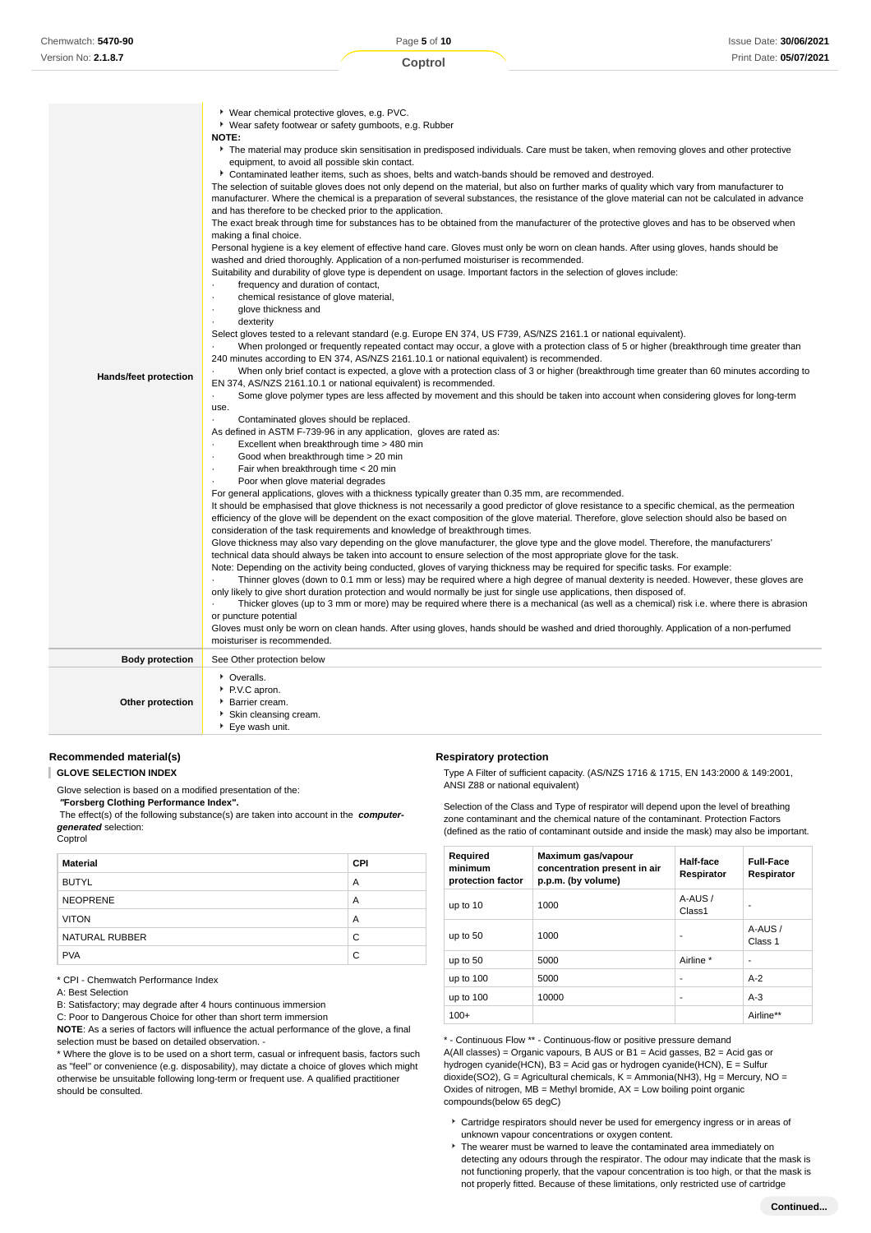| Hands/feet protection  | Vear safety footwear or safety gumboots, e.g. Rubber<br><b>NOTE:</b><br>The material may produce skin sensitisation in predisposed individuals. Care must be taken, when removing gloves and other protective<br>equipment, to avoid all possible skin contact.<br>Contaminated leather items, such as shoes, belts and watch-bands should be removed and destroyed.<br>The selection of suitable gloves does not only depend on the material, but also on further marks of quality which vary from manufacturer to<br>manufacturer. Where the chemical is a preparation of several substances, the resistance of the glove material can not be calculated in advance<br>and has therefore to be checked prior to the application.<br>The exact break through time for substances has to be obtained from the manufacturer of the protective gloves and has to be observed when<br>making a final choice.<br>Personal hygiene is a key element of effective hand care. Gloves must only be worn on clean hands. After using gloves, hands should be<br>washed and dried thoroughly. Application of a non-perfumed moisturiser is recommended.<br>Suitability and durability of glove type is dependent on usage. Important factors in the selection of gloves include:<br>frequency and duration of contact,<br>chemical resistance of glove material,<br>$\cdot$<br>glove thickness and<br>$\cdot$<br>dexterity<br>Select gloves tested to a relevant standard (e.g. Europe EN 374, US F739, AS/NZS 2161.1 or national equivalent).<br>When prolonged or frequently repeated contact may occur, a glove with a protection class of 5 or higher (breakthrough time greater than<br>240 minutes according to EN 374, AS/NZS 2161.10.1 or national equivalent) is recommended.<br>When only brief contact is expected, a glove with a protection class of 3 or higher (breakthrough time greater than 60 minutes according to<br>EN 374, AS/NZS 2161.10.1 or national equivalent) is recommended.<br>Some glove polymer types are less affected by movement and this should be taken into account when considering gloves for long-term<br>use.<br>Contaminated gloves should be replaced.<br>As defined in ASTM F-739-96 in any application, gloves are rated as:<br>Excellent when breakthrough time > 480 min<br>Good when breakthrough time > 20 min<br>$\blacksquare$<br>Fair when breakthrough time < 20 min<br>Poor when glove material degrades<br>For general applications, gloves with a thickness typically greater than 0.35 mm, are recommended.<br>It should be emphasised that glove thickness is not necessarily a good predictor of glove resistance to a specific chemical, as the permeation<br>efficiency of the glove will be dependent on the exact composition of the glove material. Therefore, glove selection should also be based on<br>consideration of the task requirements and knowledge of breakthrough times.<br>Glove thickness may also vary depending on the glove manufacturer, the glove type and the glove model. Therefore, the manufacturers'<br>technical data should always be taken into account to ensure selection of the most appropriate glove for the task.<br>Note: Depending on the activity being conducted, gloves of varying thickness may be required for specific tasks. For example:<br>Thinner gloves (down to 0.1 mm or less) may be required where a high degree of manual dexterity is needed. However, these gloves are<br>only likely to give short duration protection and would normally be just for single use applications, then disposed of.<br>Thicker gloves (up to 3 mm or more) may be required where there is a mechanical (as well as a chemical) risk i.e. where there is abrasion<br>or puncture potential<br>Gloves must only be worn on clean hands. After using gloves, hands should be washed and dried thoroughly. Application of a non-perfumed<br>moisturiser is recommended. |
|------------------------|----------------------------------------------------------------------------------------------------------------------------------------------------------------------------------------------------------------------------------------------------------------------------------------------------------------------------------------------------------------------------------------------------------------------------------------------------------------------------------------------------------------------------------------------------------------------------------------------------------------------------------------------------------------------------------------------------------------------------------------------------------------------------------------------------------------------------------------------------------------------------------------------------------------------------------------------------------------------------------------------------------------------------------------------------------------------------------------------------------------------------------------------------------------------------------------------------------------------------------------------------------------------------------------------------------------------------------------------------------------------------------------------------------------------------------------------------------------------------------------------------------------------------------------------------------------------------------------------------------------------------------------------------------------------------------------------------------------------------------------------------------------------------------------------------------------------------------------------------------------------------------------------------------------------------------------------------------------------------------------------------------------------------------------------------------------------------------------------------------------------------------------------------------------------------------------------------------------------------------------------------------------------------------------------------------------------------------------------------------------------------------------------------------------------------------------------------------------------------------------------------------------------------------------------------------------------------------------------------------------------------------------------------------------------------------------------------------------------------------------------------------------------------------------------------------------------------------------------------------------------------------------------------------------------------------------------------------------------------------------------------------------------------------------------------------------------------------------------------------------------------------------------------------------------------------------------------------------------------------------------------------------------------------------------------------------------------------------------------------------------------------------------------------------------------------------------------------------------------------------------------------------------------------------------------------------------------------------------------------------------------------------------------------------------------------------------------------------------------------------------------------------------------------------------------------------------------------------------------------------------------------------------------------------------------------------------------------------|
| <b>Body protection</b> | See Other protection below                                                                                                                                                                                                                                                                                                                                                                                                                                                                                                                                                                                                                                                                                                                                                                                                                                                                                                                                                                                                                                                                                                                                                                                                                                                                                                                                                                                                                                                                                                                                                                                                                                                                                                                                                                                                                                                                                                                                                                                                                                                                                                                                                                                                                                                                                                                                                                                                                                                                                                                                                                                                                                                                                                                                                                                                                                                                                                                                                                                                                                                                                                                                                                                                                                                                                                                                                                                                                                                                                                                                                                                                                                                                                                                                                                                                                                                                                                                                     |
| Other protection       | • Overalls.<br>P.V.C apron.<br>▶ Barrier cream.<br>Skin cleansing cream.<br>Eye wash unit.                                                                                                                                                                                                                                                                                                                                                                                                                                                                                                                                                                                                                                                                                                                                                                                                                                                                                                                                                                                                                                                                                                                                                                                                                                                                                                                                                                                                                                                                                                                                                                                                                                                                                                                                                                                                                                                                                                                                                                                                                                                                                                                                                                                                                                                                                                                                                                                                                                                                                                                                                                                                                                                                                                                                                                                                                                                                                                                                                                                                                                                                                                                                                                                                                                                                                                                                                                                                                                                                                                                                                                                                                                                                                                                                                                                                                                                                     |

### **Recommended material(s)**

**GLOVE SELECTION INDEX**

Glove selection is based on a modified presentation of the:

 **"Forsberg Clothing Performance Index".** The effect(s) of the following substance(s) are taken into account in the **computergenerated** selection:

Coptrol

| <b>Material</b> | <b>CPI</b> |
|-----------------|------------|
| <b>BUTYL</b>    | A          |
| <b>NEOPRENE</b> | A          |
| <b>VITON</b>    | A          |
| NATURAL RUBBER  | C          |
| <b>PVA</b>      | C          |

\* CPI - Chemwatch Performance Index

A: Best Selection

B: Satisfactory; may degrade after 4 hours continuous immersion

C: Poor to Dangerous Choice for other than short term immersion

**NOTE**: As a series of factors will influence the actual performance of the glove, a final selection must be based on detailed observation. -

\* Where the glove is to be used on a short term, casual or infrequent basis, factors such as "feel" or convenience (e.g. disposability), may dictate a choice of gloves which might otherwise be unsuitable following long-term or frequent use. A qualified practitioner should be consulted.

### **Respiratory protection**

Type A Filter of sufficient capacity. (AS/NZS 1716 & 1715, EN 143:2000 & 149:2001, ANSI Z88 or national equivalent)

Selection of the Class and Type of respirator will depend upon the level of breathing zone contaminant and the chemical nature of the contaminant. Protection Factors (defined as the ratio of contaminant outside and inside the mask) may also be important.

| Required<br>minimum<br>protection factor | Maximum gas/vapour<br>concentration present in air<br>p.p.m. (by volume) | Half-face<br>Respirator      | <b>Full-Face</b><br>Respirator |
|------------------------------------------|--------------------------------------------------------------------------|------------------------------|--------------------------------|
| up to 10                                 | 1000                                                                     | A-AUS/<br>Class <sub>1</sub> | ۰                              |
| up to 50                                 | 1000                                                                     | ۰                            | A-AUS/<br>Class 1              |
| up to 50                                 | 5000                                                                     | Airline *                    | ٠                              |
| up to 100                                | 5000                                                                     | ٠                            | $A-2$                          |
| up to 100                                | 10000                                                                    | ٠                            | $A-3$                          |
| $100+$                                   |                                                                          |                              | Airline**                      |

\* - Continuous Flow \*\* - Continuous-flow or positive pressure demand A(All classes) = Organic vapours, B AUS or B1 = Acid gasses, B2 = Acid gas or hydrogen cyanide(HCN), B3 = Acid gas or hydrogen cyanide(HCN), E = Sulfur dioxide(SO2), G = Agricultural chemicals, K = Ammonia(NH3), Hg = Mercury, NO = Oxides of nitrogen,  $MB =$  Methyl bromide,  $AX =$  Low boiling point organic compounds(below 65 degC)

- Cartridge respirators should never be used for emergency ingress or in areas of unknown vapour concentrations or oxygen content.
- The wearer must be warned to leave the contaminated area immediately on detecting any odours through the respirator. The odour may indicate that the mask is not functioning properly, that the vapour concentration is too high, or that the mask is not properly fitted. Because of these limitations, only restricted use of cartridge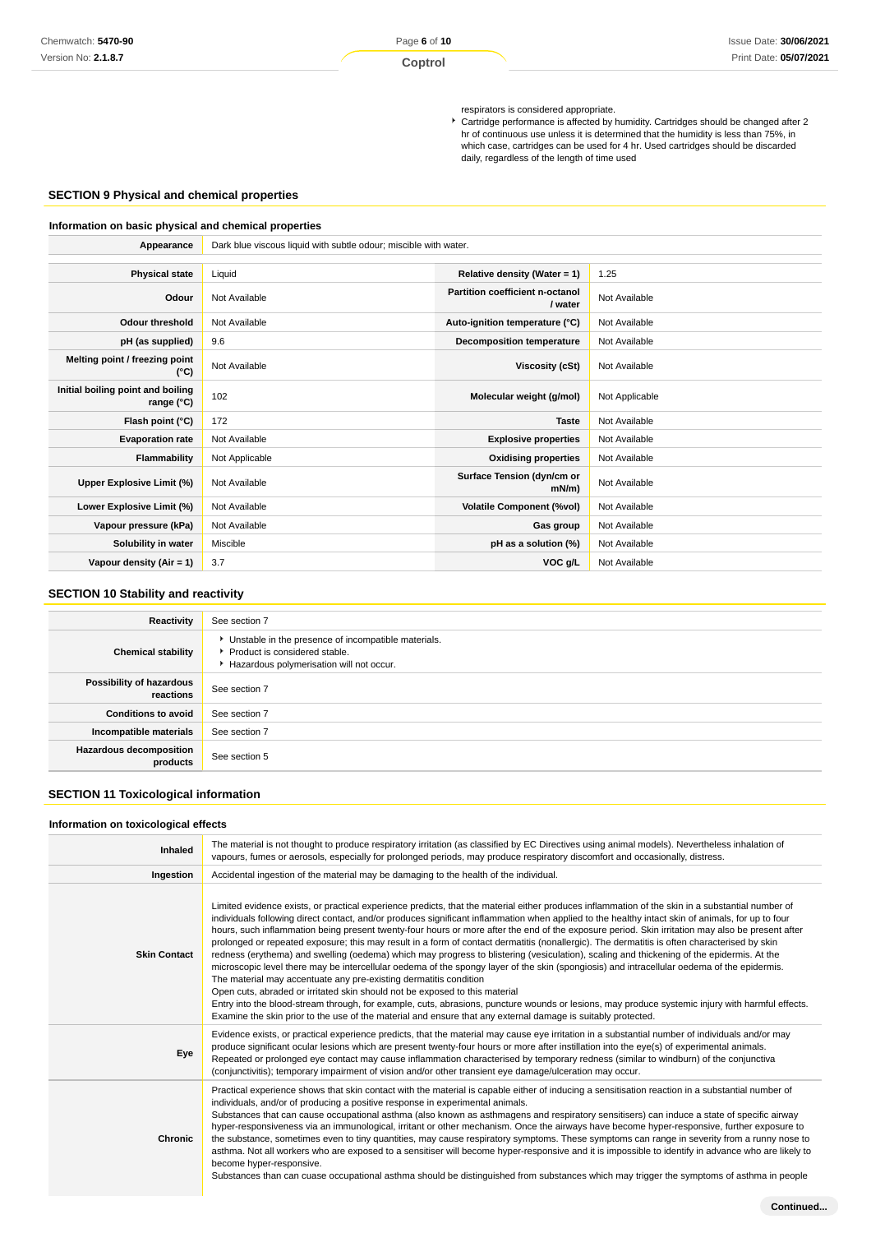respirators is considered appropriate.

Cartridge performance is affected by humidity. Cartridges should be changed after 2 hr of continuous use unless it is determined that the humidity is less than 75%, in which case, cartridges can be used for 4 hr. Used cartridges should be discarded daily, regardless of the length of time used

## **SECTION 9 Physical and chemical properties**

### **Information on basic physical and chemical properties**

| Appearance                                      | Dark blue viscous liquid with subtle odour; miscible with water. |                                            |                |
|-------------------------------------------------|------------------------------------------------------------------|--------------------------------------------|----------------|
|                                                 |                                                                  |                                            |                |
| <b>Physical state</b>                           | Liquid                                                           | Relative density (Water = $1$ )            | 1.25           |
| Odour                                           | Not Available                                                    | Partition coefficient n-octanol<br>/ water | Not Available  |
| <b>Odour threshold</b>                          | Not Available                                                    | Auto-ignition temperature (°C)             | Not Available  |
| pH (as supplied)                                | 9.6                                                              | <b>Decomposition temperature</b>           | Not Available  |
| Melting point / freezing point<br>(°C)          | Not Available                                                    | Viscosity (cSt)                            | Not Available  |
| Initial boiling point and boiling<br>range (°C) | 102                                                              | Molecular weight (g/mol)                   | Not Applicable |
| Flash point (°C)                                | 172                                                              | <b>Taste</b>                               | Not Available  |
| <b>Evaporation rate</b>                         | Not Available                                                    | <b>Explosive properties</b>                | Not Available  |
| Flammability                                    | Not Applicable                                                   | <b>Oxidising properties</b>                | Not Available  |
| Upper Explosive Limit (%)                       | Not Available                                                    | Surface Tension (dyn/cm or<br>$mN/m$ )     | Not Available  |
| Lower Explosive Limit (%)                       | Not Available                                                    | <b>Volatile Component (%vol)</b>           | Not Available  |
| Vapour pressure (kPa)                           | Not Available                                                    | Gas group                                  | Not Available  |
| Solubility in water                             | Miscible                                                         | pH as a solution (%)                       | Not Available  |
| Vapour density (Air = 1)                        | 3.7                                                              | VOC g/L                                    | Not Available  |

## **SECTION 10 Stability and reactivity**

| Reactivity                                 | See section 7                                                                                                                        |
|--------------------------------------------|--------------------------------------------------------------------------------------------------------------------------------------|
| <b>Chemical stability</b>                  | • Unstable in the presence of incompatible materials.<br>▶ Product is considered stable.<br>Hazardous polymerisation will not occur. |
| Possibility of hazardous<br>reactions      | See section 7                                                                                                                        |
| <b>Conditions to avoid</b>                 | See section 7                                                                                                                        |
| Incompatible materials                     | See section 7                                                                                                                        |
| <b>Hazardous decomposition</b><br>products | See section 5                                                                                                                        |

## **SECTION 11 Toxicological information**

### **Information on toxicological effects**

| <b>Inhaled</b>      | The material is not thought to produce respiratory irritation (as classified by EC Directives using animal models). Nevertheless inhalation of<br>vapours, fumes or aerosols, especially for prolonged periods, may produce respiratory discomfort and occasionally, distress.                                                                                                                                                                                                                                                                                                                                                                                                                                                                                                                                                                                                                                                                                                                                                                                                                                                                                                                                                                                                                                                |
|---------------------|-------------------------------------------------------------------------------------------------------------------------------------------------------------------------------------------------------------------------------------------------------------------------------------------------------------------------------------------------------------------------------------------------------------------------------------------------------------------------------------------------------------------------------------------------------------------------------------------------------------------------------------------------------------------------------------------------------------------------------------------------------------------------------------------------------------------------------------------------------------------------------------------------------------------------------------------------------------------------------------------------------------------------------------------------------------------------------------------------------------------------------------------------------------------------------------------------------------------------------------------------------------------------------------------------------------------------------|
| Ingestion           | Accidental ingestion of the material may be damaging to the health of the individual.                                                                                                                                                                                                                                                                                                                                                                                                                                                                                                                                                                                                                                                                                                                                                                                                                                                                                                                                                                                                                                                                                                                                                                                                                                         |
| <b>Skin Contact</b> | Limited evidence exists, or practical experience predicts, that the material either produces inflammation of the skin in a substantial number of<br>individuals following direct contact, and/or produces significant inflammation when applied to the healthy intact skin of animals, for up to four<br>hours, such inflammation being present twenty-four hours or more after the end of the exposure period. Skin irritation may also be present after<br>prolonged or repeated exposure; this may result in a form of contact dermatitis (nonallergic). The dermatitis is often characterised by skin<br>redness (erythema) and swelling (oedema) which may progress to blistering (vesiculation), scaling and thickening of the epidermis. At the<br>microscopic level there may be intercellular oedema of the spongy layer of the skin (spongiosis) and intracellular oedema of the epidermis.<br>The material may accentuate any pre-existing dermatitis condition<br>Open cuts, abraded or irritated skin should not be exposed to this material<br>Entry into the blood-stream through, for example, cuts, abrasions, puncture wounds or lesions, may produce systemic injury with harmful effects.<br>Examine the skin prior to the use of the material and ensure that any external damage is suitably protected. |
| Eye                 | Evidence exists, or practical experience predicts, that the material may cause eye irritation in a substantial number of individuals and/or may<br>produce significant ocular lesions which are present twenty-four hours or more after instillation into the eye(s) of experimental animals.<br>Repeated or prolonged eye contact may cause inflammation characterised by temporary redness (similar to windburn) of the conjunctiva<br>(conjunctivitis); temporary impairment of vision and/or other transient eye damage/ulceration may occur.                                                                                                                                                                                                                                                                                                                                                                                                                                                                                                                                                                                                                                                                                                                                                                             |
| Chronic             | Practical experience shows that skin contact with the material is capable either of inducing a sensitisation reaction in a substantial number of<br>individuals, and/or of producing a positive response in experimental animals.<br>Substances that can cause occupational asthma (also known as asthmagens and respiratory sensitisers) can induce a state of specific airway<br>hyper-responsiveness via an immunological, irritant or other mechanism. Once the airways have become hyper-responsive, further exposure to<br>the substance, sometimes even to tiny quantities, may cause respiratory symptoms. These symptoms can range in severity from a runny nose to<br>asthma. Not all workers who are exposed to a sensitiser will become hyper-responsive and it is impossible to identify in advance who are likely to<br>become hyper-responsive.<br>Substances than can cuase occupational asthma should be distinguished from substances which may trigger the symptoms of asthma in people                                                                                                                                                                                                                                                                                                                    |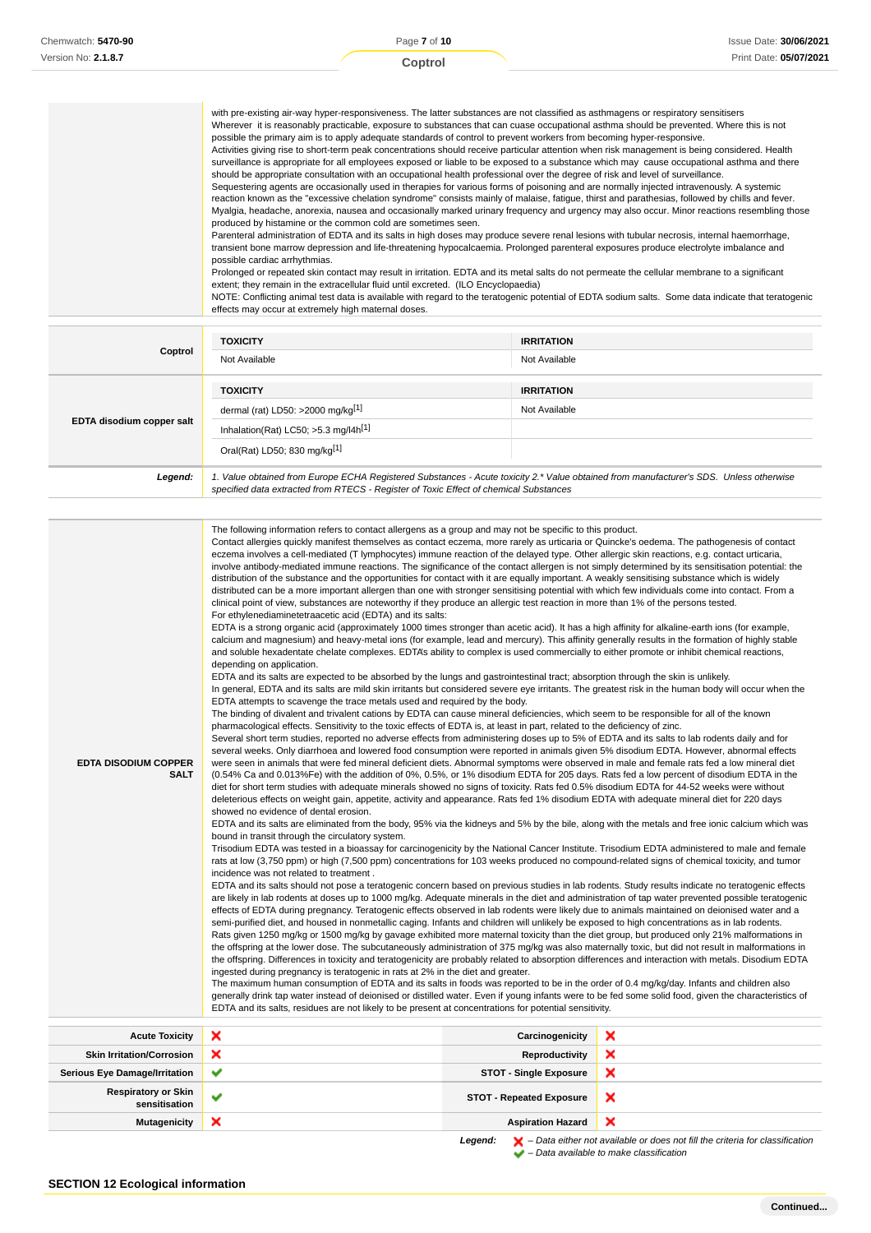|  | with pre-existing air-way hyper-responsiveness. The latter substances are not classified as asthmagens or respiratory sensitisers<br>Wherever it is reasonably practicable, exposure to substances that can cuase occupational asthma should be prevented. Where this is not<br>possible the primary aim is to apply adequate standards of control to prevent workers from becoming hyper-responsive.<br>Activities giving rise to short-term peak concentrations should receive particular attention when risk management is being considered. Health<br>surveillance is appropriate for all employees exposed or liable to be exposed to a substance which may cause occupational asthma and there<br>should be appropriate consultation with an occupational health professional over the degree of risk and level of surveillance.<br>Sequestering agents are occasionally used in therapies for various forms of poisoning and are normally injected intravenously. A systemic<br>reaction known as the "excessive chelation syndrome" consists mainly of malaise, fatigue, thirst and parathesias, followed by chills and fever.<br>Myalgia, headache, anorexia, nausea and occasionally marked urinary frequency and urgency may also occur. Minor reactions resembling those<br>produced by histamine or the common cold are sometimes seen.<br>Parenteral administration of EDTA and its salts in high doses may produce severe renal lesions with tubular necrosis, internal haemorrhage,<br>transient bone marrow depression and life-threatening hypocalcaemia. Prolonged parenteral exposures produce electrolyte imbalance and<br>possible cardiac arrhythmias.<br>Prolonged or repeated skin contact may result in irritation. EDTA and its metal salts do not permeate the cellular membrane to a significant<br>extent; they remain in the extracellular fluid until excreted. (ILO Encyclopaedia)<br>NOTE: Conflicting animal test data is available with regard to the teratogenic potential of EDTA sodium salts. Some data indicate that teratogenic<br>effects may occur at extremely high maternal doses. |
|--|----------------------------------------------------------------------------------------------------------------------------------------------------------------------------------------------------------------------------------------------------------------------------------------------------------------------------------------------------------------------------------------------------------------------------------------------------------------------------------------------------------------------------------------------------------------------------------------------------------------------------------------------------------------------------------------------------------------------------------------------------------------------------------------------------------------------------------------------------------------------------------------------------------------------------------------------------------------------------------------------------------------------------------------------------------------------------------------------------------------------------------------------------------------------------------------------------------------------------------------------------------------------------------------------------------------------------------------------------------------------------------------------------------------------------------------------------------------------------------------------------------------------------------------------------------------------------------------------------------------------------------------------------------------------------------------------------------------------------------------------------------------------------------------------------------------------------------------------------------------------------------------------------------------------------------------------------------------------------------------------------------------------------------------------------------------------------------------------------------------------------------|
|--|----------------------------------------------------------------------------------------------------------------------------------------------------------------------------------------------------------------------------------------------------------------------------------------------------------------------------------------------------------------------------------------------------------------------------------------------------------------------------------------------------------------------------------------------------------------------------------------------------------------------------------------------------------------------------------------------------------------------------------------------------------------------------------------------------------------------------------------------------------------------------------------------------------------------------------------------------------------------------------------------------------------------------------------------------------------------------------------------------------------------------------------------------------------------------------------------------------------------------------------------------------------------------------------------------------------------------------------------------------------------------------------------------------------------------------------------------------------------------------------------------------------------------------------------------------------------------------------------------------------------------------------------------------------------------------------------------------------------------------------------------------------------------------------------------------------------------------------------------------------------------------------------------------------------------------------------------------------------------------------------------------------------------------------------------------------------------------------------------------------------------------|

| Coptrol                   | <b>TOXICITY</b><br>Not Available                                                                                                                                                                                                | <b>IRRITATION</b><br>Not Available |  |
|---------------------------|---------------------------------------------------------------------------------------------------------------------------------------------------------------------------------------------------------------------------------|------------------------------------|--|
| EDTA disodium copper salt | <b>TOXICITY</b><br>dermal (rat) LD50: $>2000$ mg/kg <sup>[1]</sup>                                                                                                                                                              | <b>IRRITATION</b><br>Not Available |  |
|                           | Inhalation(Rat) LC50; $>5.3$ mg/l4h <sup>[1]</sup>                                                                                                                                                                              |                                    |  |
|                           | Oral(Rat) LD50; 830 mg/kg[1]                                                                                                                                                                                                    |                                    |  |
| Legend:                   | 1. Value obtained from Europe ECHA Registered Substances - Acute toxicity 2.* Value obtained from manufacturer's SDS. Unless otherwise<br>specified data extracted from RTECS - Register of Toxic Effect of chemical Substances |                                    |  |

– Data available to make classification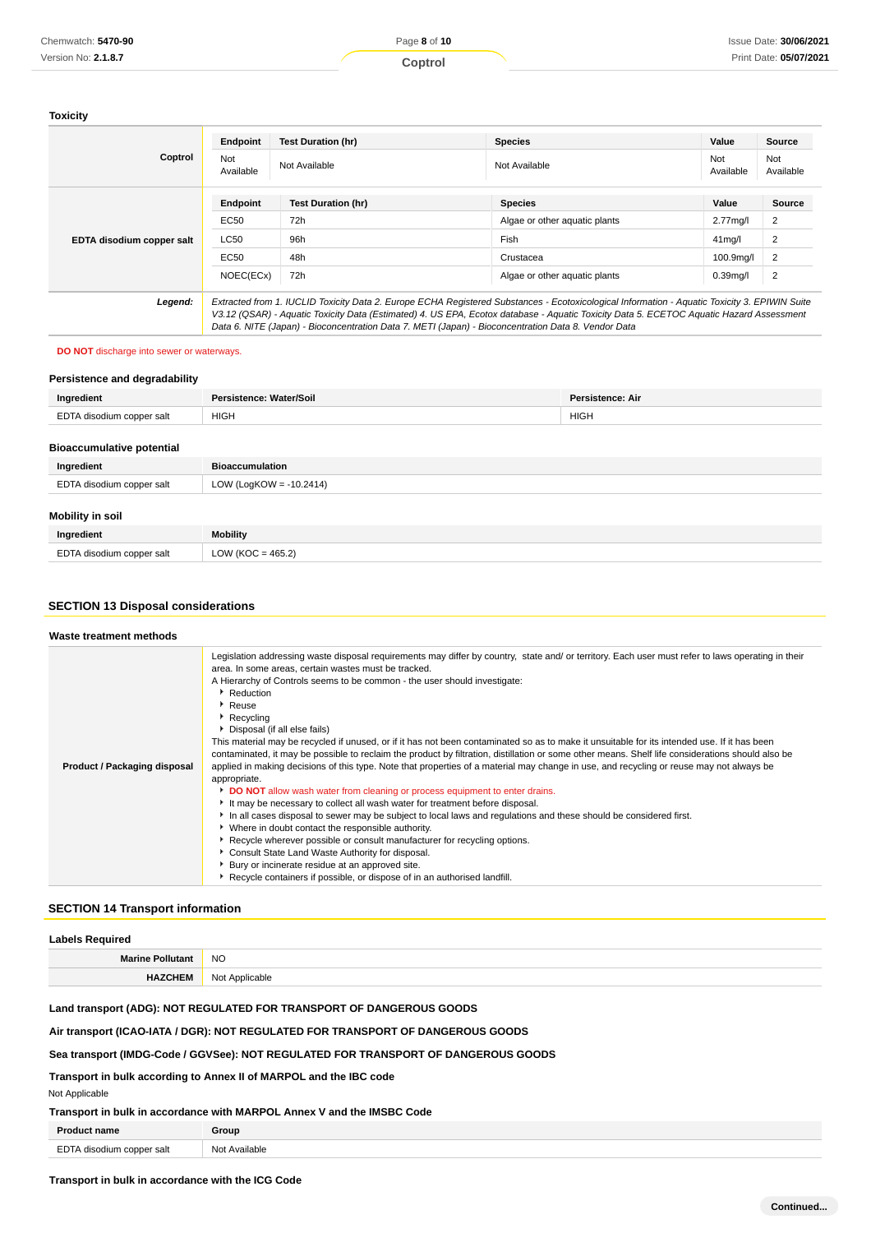### **Toxicity**

|                           | Endpoint                                                                                                                                                                                                                                       | <b>Test Duration (hr)</b> | <b>Species</b>                | Value               | Source           |
|---------------------------|------------------------------------------------------------------------------------------------------------------------------------------------------------------------------------------------------------------------------------------------|---------------------------|-------------------------------|---------------------|------------------|
| Coptrol                   | Not<br>Available                                                                                                                                                                                                                               | Not Available             | Not Available                 | Not<br>Available    | Not<br>Available |
|                           | Endpoint                                                                                                                                                                                                                                       | <b>Test Duration (hr)</b> | <b>Species</b>                | Value               | <b>Source</b>    |
| EDTA disodium copper salt | EC50                                                                                                                                                                                                                                           | 72h                       | Algae or other aguatic plants | $2.77$ mg/l         | 2                |
|                           | LC50                                                                                                                                                                                                                                           | 96h                       | Fish                          | 41 <sub>mq</sub> /l | $\overline{2}$   |
|                           | EC50                                                                                                                                                                                                                                           | 48h                       | Crustacea                     | 100.9mg/l           | $\overline{2}$   |
|                           | NOEC(ECx)                                                                                                                                                                                                                                      | 72h                       | Algae or other aguatic plants | $0.39$ mg/l         | $\overline{2}$   |
| Legend:                   | Extracted from 1. IUCLID Toxicity Data 2. Europe ECHA Registered Substances - Ecotoxicological Information - Aquatic Toxicity 3. EPIWIN Suite                                                                                                  |                           |                               |                     |                  |
|                           | V3.12 (QSAR) - Aquatic Toxicity Data (Estimated) 4. US EPA, Ecotox database - Aquatic Toxicity Data 5. ECETOC Aquatic Hazard Assessment<br>Data 6. NITE (Japan) - Bioconcentration Data 7. METI (Japan) - Bioconcentration Data 8. Vendor Data |                           |                               |                     |                  |

### **DO NOT** discharge into sewer or waterways.

### **Persistence and degradability**

| Ingredient                       | Persistence: Water/Soil    | Persistence: Air |  |
|----------------------------------|----------------------------|------------------|--|
| EDTA disodium copper salt        | <b>HIGH</b><br><b>HIGH</b> |                  |  |
| <b>Bioaccumulative potential</b> |                            |                  |  |
| Ingredient                       | <b>Bioaccumulation</b>     |                  |  |
| EDTA disodium copper salt        | LOW (LogKOW = $-10.2414$ ) |                  |  |
| <b>Mobility in soil</b>          |                            |                  |  |
| Ingredient                       | <b>Mobility</b>            |                  |  |

## **SECTION 13 Disposal considerations**

EDTA disodium copper salt LOW (KOC = 465.2)

| Waste treatment methods      |                                                                                                                                                                                                                                                                                                                                                                                                                                                                                                                                                                                                                                                                                                                                                                                                                                                                                                                                                                                                                                                                                                                                                                                                                                                                                                                                                                                                                                                                 |
|------------------------------|-----------------------------------------------------------------------------------------------------------------------------------------------------------------------------------------------------------------------------------------------------------------------------------------------------------------------------------------------------------------------------------------------------------------------------------------------------------------------------------------------------------------------------------------------------------------------------------------------------------------------------------------------------------------------------------------------------------------------------------------------------------------------------------------------------------------------------------------------------------------------------------------------------------------------------------------------------------------------------------------------------------------------------------------------------------------------------------------------------------------------------------------------------------------------------------------------------------------------------------------------------------------------------------------------------------------------------------------------------------------------------------------------------------------------------------------------------------------|
| Product / Packaging disposal | Legislation addressing waste disposal requirements may differ by country, state and/ or territory. Each user must refer to laws operating in their<br>area. In some areas, certain wastes must be tracked.<br>A Hierarchy of Controls seems to be common - the user should investigate:<br>▶ Reduction<br>Reuse<br>$\blacktriangleright$ Recycling<br>Disposal (if all else fails)<br>This material may be recycled if unused, or if it has not been contaminated so as to make it unsuitable for its intended use. If it has been<br>contaminated, it may be possible to reclaim the product by filtration, distillation or some other means. Shelf life considerations should also be<br>applied in making decisions of this type. Note that properties of a material may change in use, and recycling or reuse may not always be<br>appropriate.<br>DO NOT allow wash water from cleaning or process equipment to enter drains.<br>It may be necessary to collect all wash water for treatment before disposal.<br>In all cases disposal to sewer may be subject to local laws and regulations and these should be considered first.<br>• Where in doubt contact the responsible authority.<br>▶ Recycle wherever possible or consult manufacturer for recycling options.<br>Consult State Land Waste Authority for disposal.<br>Bury or incinerate residue at an approved site.<br>Recycle containers if possible, or dispose of in an authorised landfill. |

## **SECTION 14 Transport information**

| <b>Labels Required</b>  |                                       |  |
|-------------------------|---------------------------------------|--|
| <b>Marine Pollutant</b> | <b>NO</b><br>__                       |  |
| <b>UAZOUEN</b><br>пм    | licable<br>NMt<br><b>TYOL Applica</b> |  |

## **Land transport (ADG): NOT REGULATED FOR TRANSPORT OF DANGEROUS GOODS**

## **Air transport (ICAO-IATA / DGR): NOT REGULATED FOR TRANSPORT OF DANGEROUS GOODS**

## **Sea transport (IMDG-Code / GGVSee): NOT REGULATED FOR TRANSPORT OF DANGEROUS GOODS**

**Transport in bulk according to Annex II of MARPOL and the IBC code**

### Not Applicable

## **Transport in bulk in accordance with MARPOL Annex V and the IMSBC Code**

| <b>Product name</b>       | Group         |
|---------------------------|---------------|
| EDTA disodium copper salt | Not Available |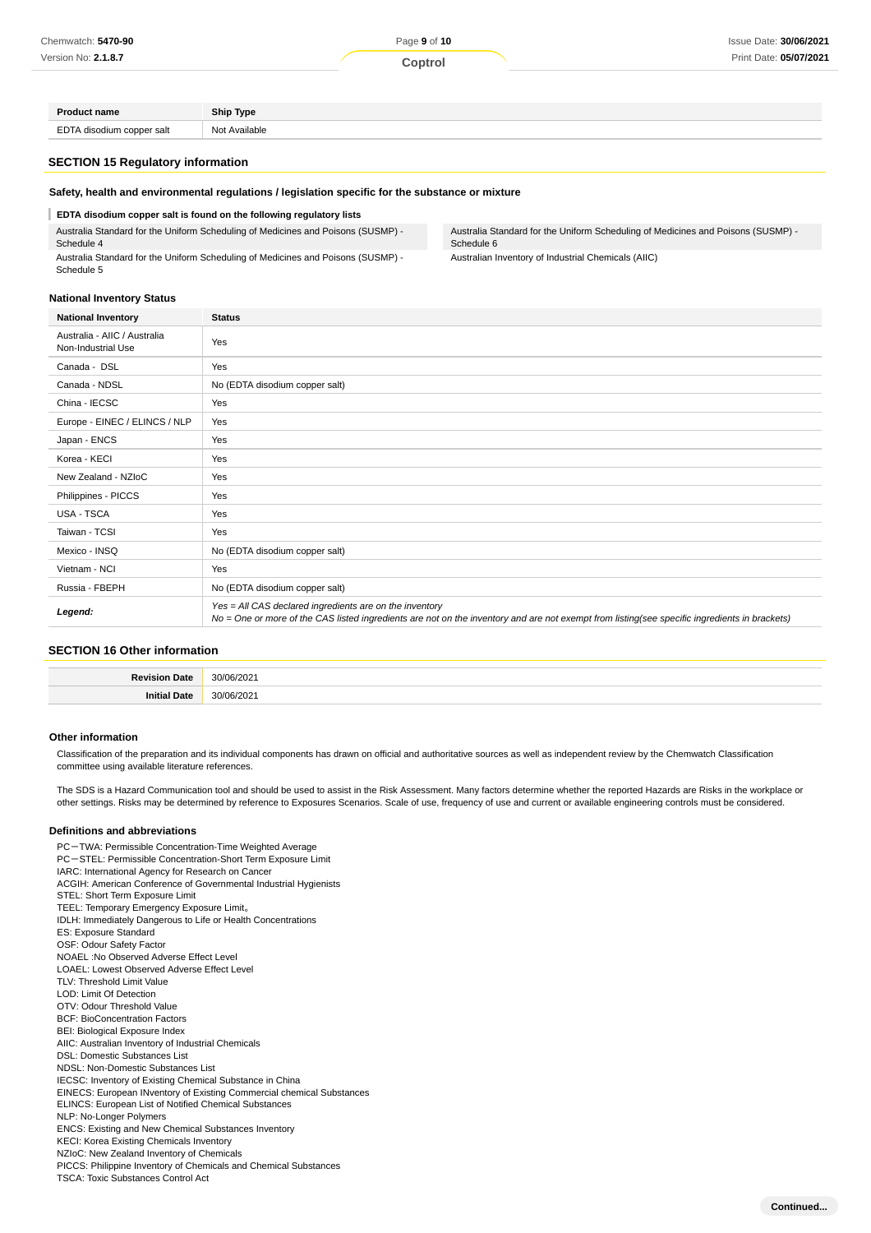| Chemwatch: 5470-90        |               | Page 9 of 10 | Issue Date: 30/06/2021 |
|---------------------------|---------------|--------------|------------------------|
| Version No: 2.1.8.7       |               | Coptrol      | Print Date: 05/07/2021 |
|                           |               |              |                        |
|                           |               |              |                        |
| <b>Product name</b>       | Ship Type     |              |                        |
| EDTA disodium copper salt | Not Available |              |                        |

#### **SECTION 15 Regulatory information**

#### **Safety, health and environmental regulations / legislation specific for the substance or mixture**

#### **EDTA disodium copper salt is found on the following regulatory lists**

Australia Standard for the Uniform Scheduling of Medicines and Poisons (SUSMP) - Schedule 4

Australia Standard for the Uniform Scheduling of Medicines and Poisons (SUSMP) - Schedule 5

Australia Standard for the Uniform Scheduling of Medicines and Poisons (SUSMP) - Schedule 6

Australian Inventory of Industrial Chemicals (AIIC)

## **National Inventory Status**

| <b>National Inventory</b>                          | <b>Status</b>                                                                                                                                                                                            |
|----------------------------------------------------|----------------------------------------------------------------------------------------------------------------------------------------------------------------------------------------------------------|
| Australia - AIIC / Australia<br>Non-Industrial Use | Yes                                                                                                                                                                                                      |
| Canada - DSL                                       | Yes                                                                                                                                                                                                      |
| Canada - NDSL                                      | No (EDTA disodium copper salt)                                                                                                                                                                           |
| China - IECSC                                      | Yes                                                                                                                                                                                                      |
| Europe - EINEC / ELINCS / NLP                      | Yes                                                                                                                                                                                                      |
| Japan - ENCS                                       | Yes                                                                                                                                                                                                      |
| Korea - KECI                                       | Yes                                                                                                                                                                                                      |
| New Zealand - NZIoC                                | Yes                                                                                                                                                                                                      |
| Philippines - PICCS                                | Yes                                                                                                                                                                                                      |
| <b>USA - TSCA</b>                                  | Yes                                                                                                                                                                                                      |
| Taiwan - TCSI                                      | Yes                                                                                                                                                                                                      |
| Mexico - INSQ                                      | No (EDTA disodium copper salt)                                                                                                                                                                           |
| Vietnam - NCI                                      | Yes                                                                                                                                                                                                      |
| Russia - FBEPH                                     | No (EDTA disodium copper salt)                                                                                                                                                                           |
| Legend:                                            | Yes = All CAS declared ingredients are on the inventory<br>No = One or more of the CAS listed ingredients are not on the inventory and are not exempt from listing(see specific ingredients in brackets) |

### **SECTION 16 Other information**

|    | ^^       |
|----|----------|
| аυ | ~~<br>__ |

#### **Other information**

Classification of the preparation and its individual components has drawn on official and authoritative sources as well as independent review by the Chemwatch Classification committee using available literature references.

The SDS is a Hazard Communication tool and should be used to assist in the Risk Assessment. Many factors determine whether the reported Hazards are Risks in the workplace or other settings. Risks may be determined by reference to Exposures Scenarios. Scale of use, frequency of use and current or available engineering controls must be considered.

#### **Definitions and abbreviations**

PC-TWA: Permissible Concentration-Time Weighted Average PC-STEL: Permissible Concentration-Short Term Exposure Limit IARC: International Agency for Research on Cancer ACGIH: American Conference of Governmental Industrial Hygienists STEL: Short Term Exposure Limit TEEL: Temporary Emergency Exposure Limit。 IDLH: Immediately Dangerous to Life or Health Concentrations ES: Exposure Standard OSF: Odour Safety Factor NOAEL :No Observed Adverse Effect Level LOAEL: Lowest Observed Adverse Effect Level TLV: Threshold Limit Value LOD: Limit Of Detection OTV: Odour Threshold Value BCF: BioConcentration Factors BEI: Biological Exposure Index AIIC: Australian Inventory of Industrial Chemicals DSL: Domestic Substances List NDSL: Non-Domestic Substances List IECSC: Inventory of Existing Chemical Substance in China EINECS: European INventory of Existing Commercial chemical Substances ELINCS: European List of Notified Chemical Substances NLP: No-Longer Polymers ENCS: Existing and New Chemical Substances Inventory KECI: Korea Existing Chemicals Inventory NZIoC: New Zealand Inventory of Chemicals PICCS: Philippine Inventory of Chemicals and Chemical Substances TSCA: Toxic Substances Control Act